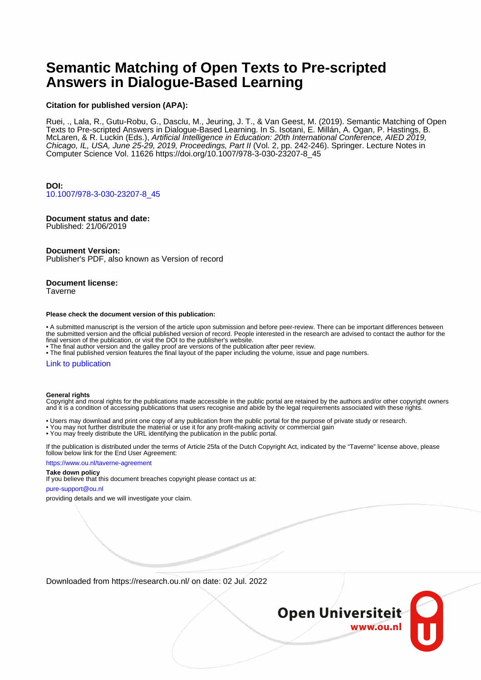# **Semantic Matching of Open Texts to Pre-scripted Answers in Dialogue-Based Learning**

## **Citation for published version (APA):**

Ruei, ., Lala, R., Gutu-Robu, G., Dasclu, M., Jeuring, J. T., & Van Geest, M. (2019). Semantic Matching of Open Texts to Pre-scripted Answers in Dialogue-Based Learning. In S. Isotani, E. Millán, A. Ogan, P. Hastings, B. McLaren, & R. Luckin (Eds.), Artificial Intelligence in Education: 20th International Conference, AIED 2019, Chicago, IL, USA, June 25-29, 2019, Proceedings, Part II (Vol. 2, pp. 242-246). Springer. Lecture Notes in Computer Science Vol. 11626 [https://doi.org/10.1007/978-3-030-23207-8\\_45](https://doi.org/10.1007/978-3-030-23207-8_45)

## **DOI:** [10.1007/978-3-030-23207-8\\_45](https://doi.org/10.1007/978-3-030-23207-8_45)

## **Document status and date:**

Published: 21/06/2019

### **Document Version:**

Publisher's PDF, also known as Version of record

## **Document license:**

Taverne

#### **Please check the document version of this publication:**

• A submitted manuscript is the version of the article upon submission and before peer-review. There can be important differences between the submitted version and the official published version of record. People interested in the research are advised to contact the author for the final version of the publication, or visit the DOI to the publisher's website.

• The final author version and the galley proof are versions of the publication after peer review.

• The final published version features the final layout of the paper including the volume, issue and page numbers.

#### [Link to publication](https://research.ou.nl/en/publications/44d034bb-a5a3-4fe8-b7da-e58a747b0f70)

#### **General rights**

Copyright and moral rights for the publications made accessible in the public portal are retained by the authors and/or other copyright owners and it is a condition of accessing publications that users recognise and abide by the legal requirements associated with these rights.

- Users may download and print one copy of any publication from the public portal for the purpose of private study or research.
- You may not further distribute the material or use it for any profit-making activity or commercial gain
- You may freely distribute the URL identifying the publication in the public portal.

If the publication is distributed under the terms of Article 25fa of the Dutch Copyright Act, indicated by the "Taverne" license above, please follow below link for the End User Agreement:

#### https://www.ou.nl/taverne-agreement

## **Take down policy**

If you believe that this document breaches copyright please contact us at:

#### pure-support@ou.nl

providing details and we will investigate your claim.

Downloaded from https://research.ou.nl/ on date: 02 Jul. 2022

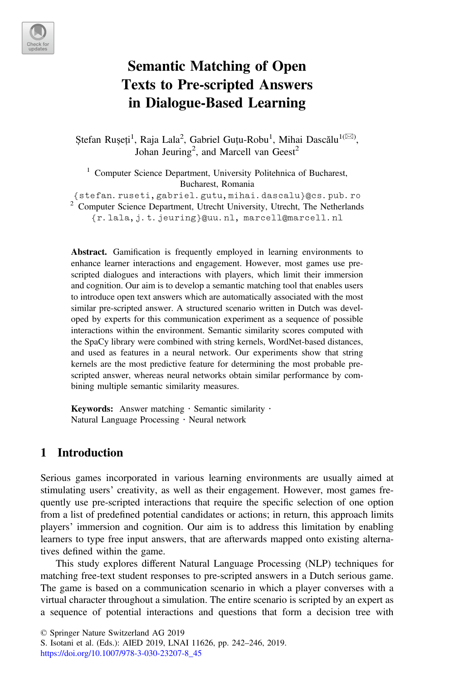

# Semantic Matching of Open Texts to Pre-scripted Answers in Dialogue-Based Learning

Ștefan Rușeți<sup>1</sup>, Raja Lala<sup>2</sup>, Gabriel Guțu-Robu<sup>1</sup>, Mihai Dascălu<sup>1(⊠)</sup>, Johan Jeuring<sup>2</sup>, and Marcell van Geest<sup>2</sup>

 $1$  Computer Science Department, University Politehnica of Bucharest, Bucharest, Romania

{stefan.ruseti,gabriel.gutu,mihai.dascalu}@cs.pub.ro <sup>2</sup> Computer Science Department, Utrecht University, Utrecht, The Netherlands {r.lala,j.t.jeuring}@uu.nl, marcell@marcell.nl

Abstract. Gamification is frequently employed in learning environments to enhance learner interactions and engagement. However, most games use prescripted dialogues and interactions with players, which limit their immersion and cognition. Our aim is to develop a semantic matching tool that enables users to introduce open text answers which are automatically associated with the most similar pre-scripted answer. A structured scenario written in Dutch was developed by experts for this communication experiment as a sequence of possible interactions within the environment. Semantic similarity scores computed with the SpaCy library were combined with string kernels, WordNet-based distances, and used as features in a neural network. Our experiments show that string kernels are the most predictive feature for determining the most probable prescripted answer, whereas neural networks obtain similar performance by combining multiple semantic similarity measures.

**Keywords:** Answer matching  $\cdot$  Semantic similarity  $\cdot$  Natural Language Processing  $\cdot$  Neural network

## 1 Introduction

Serious games incorporated in various learning environments are usually aimed at stimulating users' creativity, as well as their engagement. However, most games frequently use pre-scripted interactions that require the specific selection of one option from a list of predefined potential candidates or actions; in return, this approach limits players' immersion and cognition. Our aim is to address this limitation by enabling learners to type free input answers, that are afterwards mapped onto existing alternatives defined within the game.

This study explores different Natural Language Processing (NLP) techniques for matching free-text student responses to pre-scripted answers in a Dutch serious game. The game is based on a communication scenario in which a player converses with a virtual character throughout a simulation. The entire scenario is scripted by an expert as a sequence of potential interactions and questions that form a decision tree with

© Springer Nature Switzerland AG 2019

S. Isotani et al. (Eds.): AIED 2019, LNAI 11626, pp. 242–246, 2019. [https://doi.org/10.1007/978-3-030-23207-8\\_45](https://doi.org/10.1007/978-3-030-23207-8_45)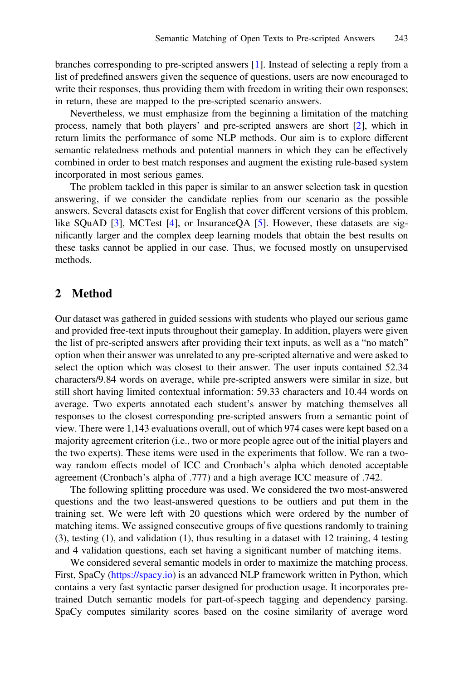branches corresponding to pre-scripted answers [\[1](#page-5-0)]. Instead of selecting a reply from a list of predefined answers given the sequence of questions, users are now encouraged to write their responses, thus providing them with freedom in writing their own responses; in return, these are mapped to the pre-scripted scenario answers.

Nevertheless, we must emphasize from the beginning a limitation of the matching process, namely that both players' and pre-scripted answers are short [[2\]](#page-5-0), which in return limits the performance of some NLP methods. Our aim is to explore different semantic relatedness methods and potential manners in which they can be effectively combined in order to best match responses and augment the existing rule-based system incorporated in most serious games.

The problem tackled in this paper is similar to an answer selection task in question answering, if we consider the candidate replies from our scenario as the possible answers. Several datasets exist for English that cover different versions of this problem, like SQuAD [[3\]](#page-5-0), MCTest [[4\]](#page-5-0), or InsuranceQA [\[5](#page-5-0)]. However, these datasets are significantly larger and the complex deep learning models that obtain the best results on these tasks cannot be applied in our case. Thus, we focused mostly on unsupervised methods.

## 2 Method

Our dataset was gathered in guided sessions with students who played our serious game and provided free-text inputs throughout their gameplay. In addition, players were given the list of pre-scripted answers after providing their text inputs, as well as a "no match" option when their answer was unrelated to any pre-scripted alternative and were asked to select the option which was closest to their answer. The user inputs contained 52.34 characters/9.84 words on average, while pre-scripted answers were similar in size, but still short having limited contextual information: 59.33 characters and 10.44 words on average. Two experts annotated each student's answer by matching themselves all responses to the closest corresponding pre-scripted answers from a semantic point of view. There were 1,143 evaluations overall, out of which 974 cases were kept based on a majority agreement criterion (i.e., two or more people agree out of the initial players and the two experts). These items were used in the experiments that follow. We ran a twoway random effects model of ICC and Cronbach's alpha which denoted acceptable agreement (Cronbach's alpha of .777) and a high average ICC measure of .742.

The following splitting procedure was used. We considered the two most-answered questions and the two least-answered questions to be outliers and put them in the training set. We were left with 20 questions which were ordered by the number of matching items. We assigned consecutive groups of five questions randomly to training (3), testing (1), and validation (1), thus resulting in a dataset with 12 training, 4 testing and 4 validation questions, each set having a significant number of matching items.

We considered several semantic models in order to maximize the matching process. First, SpaCy (<https://spacy.io>) is an advanced NLP framework written in Python, which contains a very fast syntactic parser designed for production usage. It incorporates pretrained Dutch semantic models for part-of-speech tagging and dependency parsing. SpaCy computes similarity scores based on the cosine similarity of average word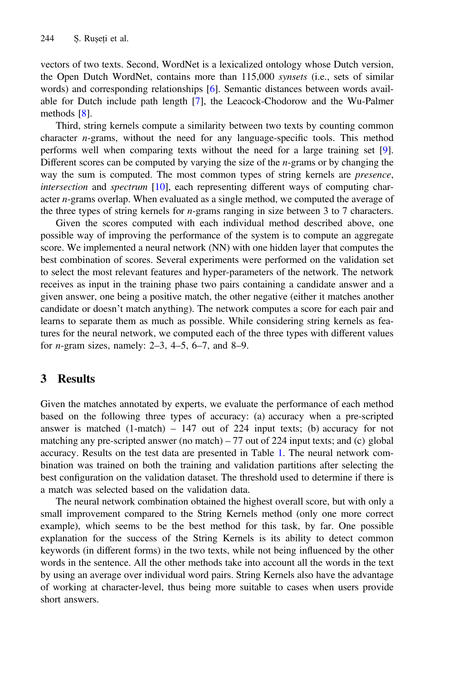vectors of two texts. Second, WordNet is a lexicalized ontology whose Dutch version, the Open Dutch WordNet, contains more than 115,000 synsets (i.e., sets of similar words) and corresponding relationships [\[6](#page-5-0)]. Semantic distances between words available for Dutch include path length [\[7](#page-5-0)], the Leacock-Chodorow and the Wu-Palmer methods [[8\]](#page-5-0).

Third, string kernels compute a similarity between two texts by counting common character  $n$ -grams, without the need for any language-specific tools. This method performs well when comparing texts without the need for a large training set [[9\]](#page-5-0). Different scores can be computed by varying the size of the *n*-grams or by changing the way the sum is computed. The most common types of string kernels are presence, intersection and spectrum  $[10]$  $[10]$ , each representing different ways of computing character n-grams overlap. When evaluated as a single method, we computed the average of the three types of string kernels for n-grams ranging in size between 3 to 7 characters.

Given the scores computed with each individual method described above, one possible way of improving the performance of the system is to compute an aggregate score. We implemented a neural network (NN) with one hidden layer that computes the best combination of scores. Several experiments were performed on the validation set to select the most relevant features and hyper-parameters of the network. The network receives as input in the training phase two pairs containing a candidate answer and a given answer, one being a positive match, the other negative (either it matches another candidate or doesn't match anything). The network computes a score for each pair and learns to separate them as much as possible. While considering string kernels as features for the neural network, we computed each of the three types with different values for *n*-gram sizes, namely:  $2-3$ ,  $4-5$ ,  $6-7$ , and  $8-9$ .

## 3 Results

Given the matches annotated by experts, we evaluate the performance of each method based on the following three types of accuracy: (a) accuracy when a pre-scripted answer is matched  $(1-match) - 147$  out of 224 input texts; (b) accuracy for not matching any pre-scripted answer (no match) – 77 out of 224 input texts; and (c) global accuracy. Results on the test data are presented in Table [1.](#page-4-0) The neural network combination was trained on both the training and validation partitions after selecting the best configuration on the validation dataset. The threshold used to determine if there is a match was selected based on the validation data.

The neural network combination obtained the highest overall score, but with only a small improvement compared to the String Kernels method (only one more correct example), which seems to be the best method for this task, by far. One possible explanation for the success of the String Kernels is its ability to detect common keywords (in different forms) in the two texts, while not being influenced by the other words in the sentence. All the other methods take into account all the words in the text by using an average over individual word pairs. String Kernels also have the advantage of working at character-level, thus being more suitable to cases when users provide short answers.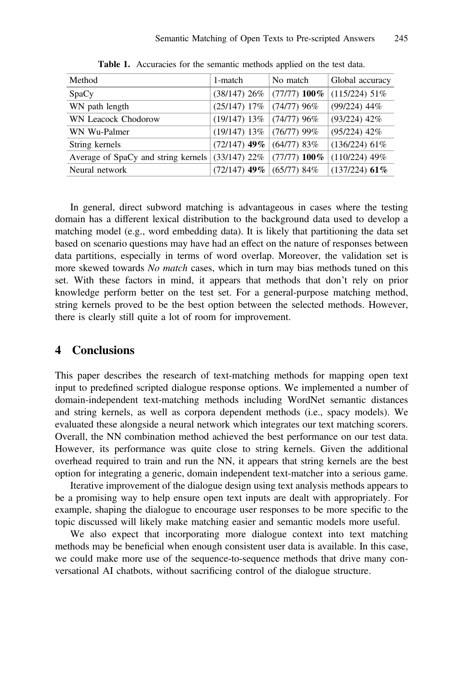<span id="page-4-0"></span>

| Method                                                                            | 1-match                      | No match       | Global accuracy |
|-----------------------------------------------------------------------------------|------------------------------|----------------|-----------------|
| SpaCy                                                                             | $(38/147)$ 26%               | $(77/77)$ 100% | $(115/224)$ 51% |
| WN path length                                                                    | $(25/147)$ 17%               | (74/77)96%     | $(99/224)$ 44%  |
| <b>WN Leacock Chodorow</b>                                                        | $(19/147)$ 13\% (74/77) 96\% |                | $(93/224)$ 42%  |
| WN Wu-Palmer                                                                      | $(19/147) 13\%$              | $(76/77)99\%$  | $(95/224)$ 42%  |
| String kernels                                                                    | $(72/147)$ 49% $(64/77)$ 83% |                | $(136/224)$ 61% |
| Average of SpaCy and string kernels (33/147) $22\%$ (77/77) $100\%$ (110/224) 49% |                              |                |                 |
| Neural network                                                                    | $(72/147)$ 49% $(65/77)$ 84% |                | $(137/224)$ 61% |

Table 1. Accuracies for the semantic methods applied on the test data.

In general, direct subword matching is advantageous in cases where the testing domain has a different lexical distribution to the background data used to develop a matching model (e.g., word embedding data). It is likely that partitioning the data set based on scenario questions may have had an effect on the nature of responses between data partitions, especially in terms of word overlap. Moreover, the validation set is more skewed towards No match cases, which in turn may bias methods tuned on this set. With these factors in mind, it appears that methods that don't rely on prior knowledge perform better on the test set. For a general-purpose matching method, string kernels proved to be the best option between the selected methods. However, there is clearly still quite a lot of room for improvement.

## 4 Conclusions

This paper describes the research of text-matching methods for mapping open text input to predefined scripted dialogue response options. We implemented a number of domain-independent text-matching methods including WordNet semantic distances and string kernels, as well as corpora dependent methods (i.e., spacy models). We evaluated these alongside a neural network which integrates our text matching scorers. Overall, the NN combination method achieved the best performance on our test data. However, its performance was quite close to string kernels. Given the additional overhead required to train and run the NN, it appears that string kernels are the best option for integrating a generic, domain independent text-matcher into a serious game.

Iterative improvement of the dialogue design using text analysis methods appears to be a promising way to help ensure open text inputs are dealt with appropriately. For example, shaping the dialogue to encourage user responses to be more specific to the topic discussed will likely make matching easier and semantic models more useful.

We also expect that incorporating more dialogue context into text matching methods may be beneficial when enough consistent user data is available. In this case, we could make more use of the sequence-to-sequence methods that drive many conversational AI chatbots, without sacrificing control of the dialogue structure.